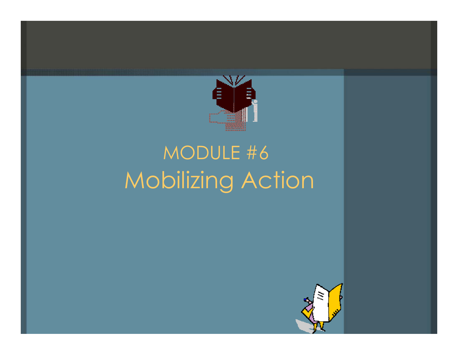

## MODULE #6 Mobilizing Action

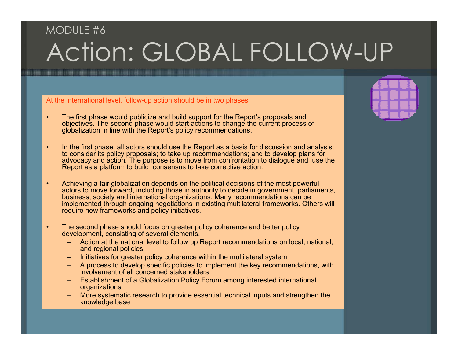### MODULE #6Action: GLOBAL FOLLOW-UP

#### At the international level, follow-up action should be in two phases

- • The first phase would publicize and build support for the Report's proposals and objectives. The second phase would start actions to change the current process of globalization in line with the Report's policy recommendations.
- •• In the first phase, all actors should use the Report as a basis for discussion and analysis; to consider its policy proposals; to take up recommendations; and to develop plans for advocacy and action. The purpose is to move from confrontation to dialogue and use the Report as a platform to build consensus to take corrective action.
- • Achieving a fair globalization depends on the political decisions of the most powerful actors to move forward, including those in authority to decide in government, parliaments, business, society and international organizations. Many recommendations can be implemented through ongoing negotiations in existing multilateral frameworks. Others will require new frameworks and policy initiatives.
- • The second phase should focus on greater policy coherence and better policy development, consisting of several elements,
	- Action at the national level to follow up Report recommendations on local, national, and regional policies
	- Initiatives for greater policy coherence within the multilateral system
	- A process to develop specific policies to implement the key recommendations, with involvement of all concerned stakeholders
	- Establishment of a Globalization Policy Forum among interested international organizations
	- More systematic research to provide essential technical inputs and strengthen the knowledge base

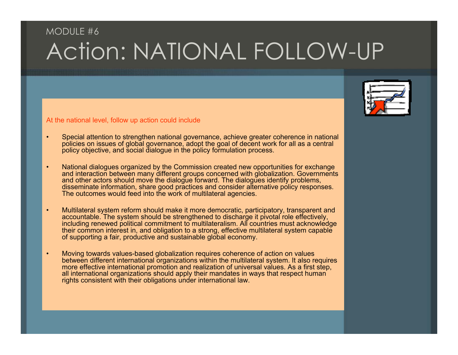#### MODULE #6Action: NATIONAL FOLLOW-UP

At the national level, follow up action could include

- • Special attention to strengthen national governance, achieve greater coherence in national policies on issues of global governance, adopt the goal of decent work for all as a central policy objective, and social dialogue in the policy formulation process.
- • National dialogues organized by the Commission created new opportunities for exchange and interaction between many different groups concerned with globalization. Governments and other actors should move the dialogue forward. The dialogues identify problems, disseminate information, share good practices and consider alternative policy responses. The outcomes would feed into the work of multilateral agencies.
- • Multilateral system reform should make it more democratic, participatory, transparent and accountable. The system should be strengthened to discharge it pivotal role effectively, including renewed political commitment to multilateralism. All countries must acknowledge their common interest in, and obligation to a strong, effective multilateral system capable of supporting a fair, productive and sustainable global economy.
- • Moving towards values-based globalization requires coherence of action on values between different international organizations within the multilateral system. It also requires more effective international promotion and realization of universal values. As a first step, all international organizations should apply their mandates in ways that respect human rights consistent with their obligations under international law.

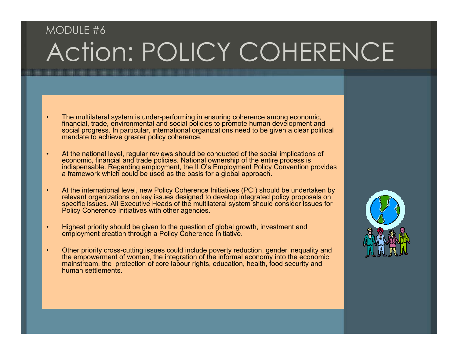### MODULE #6Action: POLICY COHERENCE

- • The multilateral system is under-performing in ensuring coherence among economic, financial, trade, environmental and social policies to promote human development and social progress. In particular, international organizations need to be given a clear political mandate to achieve greater policy coherence.
- • At the national level, regular reviews should be conducted of the social implications of economic, financial and trade policies. National ownership of the entire process is indispensable. Regarding employment, the ILO's Employment Policy Convention provides a framework which could be used as the basis for a global approach.
- • At the international level, new Policy Coherence Initiatives (PCI) should be undertaken by relevant organizations on key issues designed to develop integrated policy proposals on specific issues. All Executive Heads of the multilateral system should consider issues for Policy Coherence Initiatives with other agencies.
- •• Highest priority should be given to the question of global growth, investment and employment creation through a Policy Coherence Initiative.
- • Other priority cross-cutting issues could include poverty reduction, gender inequality and the empowerment of women, the integration of the informal economy into the economic mainstream, the protection of core labour rights, education, health, food security and human settlements

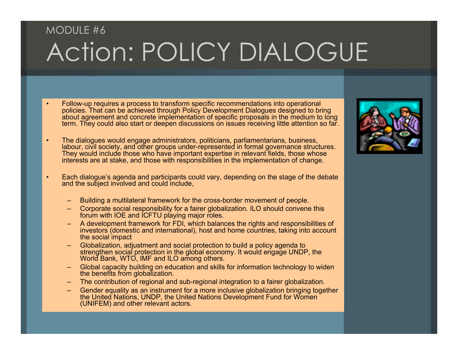## MODULE #6Action: POLICY DIALOGUE

- • Follow-up requires a process to transform specific recommendations into operational policies. That can be achieved through Policy Development Dialogues designed to bring about agreement and concrete implementation of specific proposals in the medium to long term. They could also start or deepen discussions on issues receiving little attention so far.
- • The dialogues would engage administrators, politicians, parliamentarians, business, labour, civil society, and other groups under-represented in formal governance structures. They would include those who have important expertise in relevant fields, those whose interests are at stake, and those with responsibilities in the implementation of change.
- • Each dialogue's agenda and participants could vary, depending on the stage of the debate and the subject involved and could include,
	- –Building a multilateral framework for the cross-border movement of people.
	- Corporate social responsibility for a fairer globalization. ILO should convene this forum with IOE and ICFTU playing major roles.
	- A development framework for FDI, which balances the rights and responsibilities of investors (domestic and international), host and home countries, taking into account the social impact
	- Globalization, adjustment and social protection to build a policy agenda to strengthen social protection in the global economy. It would engage UNDP, the World Bank, WTO, IMF and ILO among others.
	- Global capacity building on education and skills for information technology to widen the benefits from globalization.
	- The contribution of regional and sub-regional integration to a fairer globalization.
	- Gender equality as an instrument for a more inclusive globalization bringing together the United Nations, UNDP, the United Nations Development Fund for Women (UNIFEM) and other relevant actors.

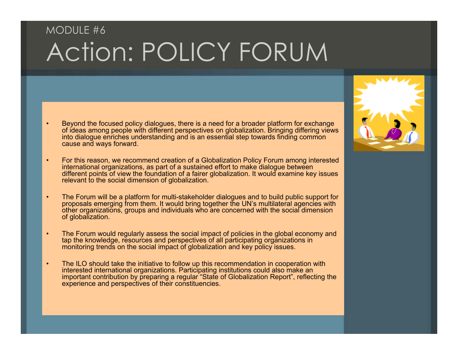## MODULE #6Action: POLICY FORUM

- • Beyond the focused policy dialogues, there is a need for a broader platform for exchange of ideas among people with different perspectives on globalization. Bringing differing views into dialogue enriches understanding and is an essential step towards finding common cause and ways forward.
- • For this reason, we recommend creation of a Globalization Policy Forum among interested international organizations, as part of a sustained effort to make dialogue between different points of view the foundation of a fairer globalization. It would examine key issues relevant to the social dimension of globalization.
- • The Forum will be a platform for multi-stakeholder dialogues and to build public support for proposals emerging from them. It would bring together the UN's multilateral agencies with other organizations, groups and individuals who are concerned with the social dimension of globalization.
- • The Forum would regularly assess the social impact of policies in the global economy and tap the knowledge, resources and perspectives of all participating organizations in monitoring trends on the social impact of globalization and key policy issues.
- • The ILO should take the initiative to follow up this recommendation in cooperation with interested international organizations. Participating institutions could also make an important contribution by preparing a regular "State of Globalization Report", reflecting the experience and perspectives of their constituencies.

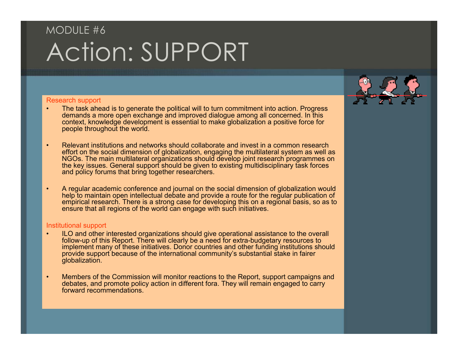## MODULE #6Action: SUPPORT

#### Research support

- • The task ahead is to generate the political will to turn commitment into action. Progress demands a more open exchange and improved dialogue among all concerned. In this context, knowledge development is essential to make globalization a positive force for people throughout the world.
- • Relevant institutions and networks should collaborate and invest in a common research effort on the social dimension of globalization, engaging the multilateral system as well as NGOs. The main multilateral organizations should develop joint research programmes on the key issues. General support should be given to existing multidisciplinary task forces and policy forums that bring together researchers.
- • A regular academic conference and journal on the social dimension of globalization would help to maintain open intellectual debate and provide a route for the regular publication of empirical research. There is a strong case for developing this on a regional basis, so as to ensure that all regions of the world can engage with such initiatives.

#### Institutional support

- • ILO and other interested organizations should give operational assistance to the overall follow-up of this Report. There will clearly be a need for extra-budgetary resources to implement many of these initiatives. Donor countries and other funding institutions should provide support because of the international community's substantial stake in fairer globalization.
- • Members of the Commission will monitor reactions to the Report, support campaigns and debates, and promote policy action in different fora. They will remain engaged to carry forward recommendations.

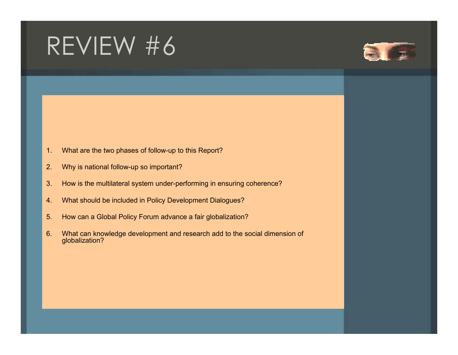# REVIEW #6



- 1.What are the two phases of follow-up to this Report?
- 2.Why is national follow-up so important?
- 3.How is the multilateral system under-performing in ensuring coherence?
- 4.What should be included in Policy Development Dialogues?
- 5.How can a Global Policy Forum advance a fair globalization?
- 6. What can knowledge development and research add to the social dimension of globalization?